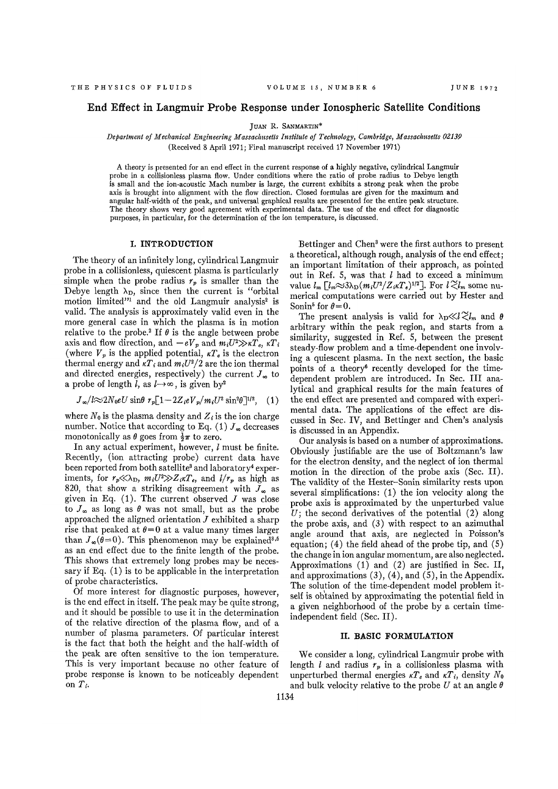## End Effect in Langmuir Probe Response under Ionospheric Satellite Conditions

JUAN R. SANMARTIN\*

*Department of Mechanical Engineering Massachusetts Institute of Technology, Cambridge, Massachusetts 02139*  (Received 8 April 1971; Final manuscript received 17 November 1971)

A theory is presented for an end effect in the current response of a highly negative, cylindrical Langmuir probe in a collisionless plasma flow. Under conditions where the ratio of probe radius to Debye length is small and the ion-acoustic Mach number is large, the current exhibits a strong peak when the probe axis is brought into alignment with the flow direction. Closed formulas are given for the maximum and angular half-width of the peak, and universal graphical results are presented for the entire peak structure. The theory shows very good agreement with experimental data. The use of the end effect for diagnostic purposes, in particular, for the determination of the ion temperature, is discussed.

### **I. INTRODUCTION**

The theory of an infinitely long, cylindrical Langmuir probe in a collisionless, quiescent plasma is particularly simple when the probe radius  $r_p$  is smaller than the Debye length  $\lambda_D$ , since then the current is "orbital motion limited"<sup>1</sup> and the old Langmuir analysis<sup>2</sup> is valid. The analysis is approximately valid even in the more general case in which the plasma is in motion relative to the probe.<sup>2</sup> If  $\theta$  is the angle between probe axis and flow direction, and  $-eV_p$  and  $m_iU^2 \gg \kappa T_e$ ,  $\kappa T_i$ (where  $V_p$  is the applied potential,  $kT_e$  is the electron thermal energy and  $\kappa T_i$  and  $m_iU^2/2$  are the ion thermal and directed energies, respectively) the current  $J_{\infty}$  to a probe of length *l*, as  $l \rightarrow \infty$ , is given by<sup>2</sup>

$$
J_{\infty}/l\approx 2N_0eU\sin\theta r_p[1-2Z_i eV_p/m_i U^2\sin^2\theta]^{1/2}, \quad (1)
$$

where  $N_0$  is the plasma density and  $Z_i$  is the ion charge number. Notice that according to Eq. (1)  $J_{\infty}$  decreases monotonically as  $\theta$  goes from  $\frac{1}{2}\pi$  to zero.

In any actual experiment, however, *I* must be finite. Recently, (ion attracting probe) current data have been reported from both satellite<sup>3</sup> and laboratory<sup>4</sup> experiments, for  $r_p \ll \lambda_D$ ,  $m_i U^2 \gg Z_i \kappa T_e$ , and  $l/r_p$  as high as 820, that show a striking disagreement with  $J_{\infty}$  as given in Eq.  $(1)$ . The current observed  $J$  was close to  $J_{\infty}$  as long as  $\theta$  was not small, but as the probe approached the aligned orientation *J* exhibited a sharp rise that peaked at  $\theta = 0$  at a value many times larger than  $J_{\infty}(\bar{\theta}=0)$ . This phenomenon may be explained<sup>3,6</sup> as an end effect due to the finite length of the probe. This shows that extremely long probes may be necessary if Eq. (1) is to be applicable in the interpretation of probe characteristics.

Of more interest for diagnostic purposes, however, is the end effect in itself. The peak may be quite strong, and it should be possible to use it in the determination of the relative direction of the plasma flow, and of a number of plasma parameters. Of particular interest is the fact that both the height and the half-width of the peak are often sensitive to the ion temperature. This is very important because no other feature of probe response is known to be noticeably dependent on *Ti.* 

Bettinger and Chen<sup>3</sup> were the first authors to present a theoretical, although rough, analysis of the end effect; an important limitation of their approach, as pointed out in Ref. 5, was that *I* had to exceed a minimum value  $l_m \left[ l_m \approx 3 \lambda_D (m_i U^2/Z_i \kappa T_e)^{1/2} \right]$ . For  $l \gtrsim l_m$  some numerical computations were carried out by Hester and Sonin<sup>5</sup> for  $\theta=0$ .

The present analysis is valid for  $\lambda_D \ll l \gtrsim l_m$  and  $\theta$ arbitrary within the peak region, and starts from a similarity, suggested in Ref. 5, between the present steady-flow problem and a time-dependent one involving a quiescent plasma. In the next section, the basic points of a theory<sup>6</sup> recently developed for the timedependent problem are introduced. In Sec. Ill analytical and graphical results for the main features of the end effect are presented and compared with experimental data. The applications of the effect are discussed in Sec, IV, and Bettinger and Chen's analysis is discussed in an Appendix.

Our analysis is based on a number of approximations. Obviously justifiable are the use of Boltzmann's law for the electron density, and the neglect of ion thermal motion in the direction of the probe axis (Sec. II). The validity of the Hester-Sonin similarity rests upon several simplifications: (1) the ion velocity along the probe axis is approximated by the unperturbed value  $U$ ; the second derivatives of the potential  $(2)$  along the probe axis, and (3) with respect to an azimuthal angle around that axis, are neglected in Poisson's equation; (4) the field ahead of the probe tip, and (5) the change in ion angular momentum, are also neglected. Approximations (1) and (2) are justified in Sec. II, and approximations (3), (4), and (5), in the Appendix. The solution of the time-dependent model problem itself is obtained by approximating the potential field in a given neighborhood of the probe by a certain timeindependent field (Sec. II).

#### **II. BASIC FORMULATION**

We consider a long, cylindrical Langmuir probe with length *I* and radius *rp* in a collisionless plasma with unperturbed thermal energies  $\kappa T_e$  and  $\kappa T_i$ , density  $N_0$ and bulk velocity relative to the probe *U* at an angle *6*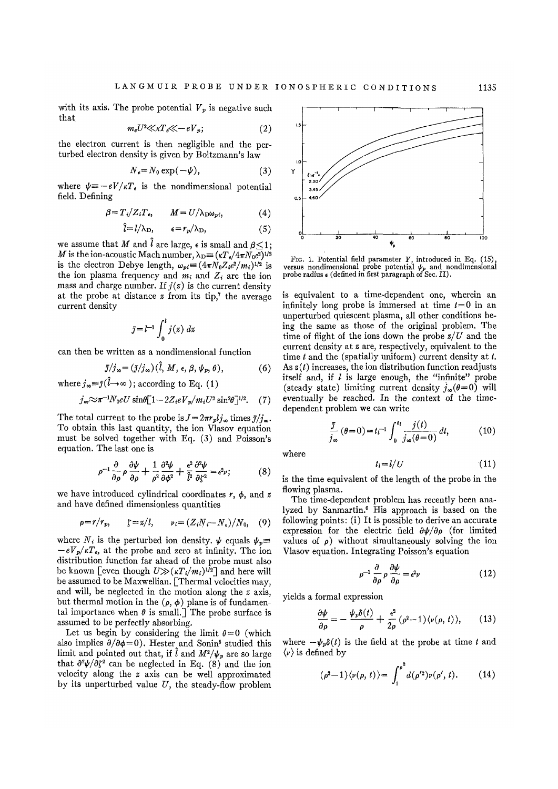with its axis. The probe potential  $V_p$  is negative such that

$$
m_e U^2 \ll \kappa T_e \ll -eV_p; \tag{2}
$$

the electron current is then negligible and the perturbed electron density is given by Boltzmann's law

$$
N_e = N_0 \exp(-\psi), \tag{3}
$$

where  $\psi = -eV/\kappa T_e$  is the nondimensional potential field. Defining

$$
\beta = T_i/Z_i T_e, \qquad M = U/\lambda_D \omega_{pi}, \qquad (4)
$$

$$
\hat{l} = l/\lambda_{\rm D}, \qquad \epsilon = r_p/\lambda_{\rm D}, \tag{5}
$$

we assume that M and  $\hat{l}$  are large,  $\epsilon$  is small and  $\beta < 1$ ; *M* is the ion-acoustic Mach number,  $\lambda_{\rm D} = (\kappa T_e/4\pi N_0 e^2)^{1/2}$ is the electron Debye length,  $\omega_{pi} = (4\pi N_0 Z_i e^2/m_i)^{1/2}$  is the ion plasma frequency and  $m_i$  and  $Z_i$  are the ion mass and charge number. If  $j(z)$  is the current density at the probe at distance *z* from its tip,<sup>7</sup> the average current density

$$
\bar{j} = l^{-1} \int_0^l j(z) \ dz
$$

can then be written as a nondimensional function

$$
\bar{\jmath}/j_{\infty} = (\bar{\jmath}/j_{\infty}) (\bar{l}, M, \epsilon, \beta, \psi_p, \theta), \qquad (6)
$$

where  $j_{\infty} \equiv \bar{j}(\hat{l} \to \infty)$ ; according to Eq. (1)

$$
j_{\infty} \approx \pi^{-1} N_0 e U \sin\theta [1 - 2Z_i e V_p / m_i U^2 \sin^2\theta]^{1/2}.
$$
 (7)

The total current to the probe is  $J = 2\pi r_p l j_\infty$  times  $\bar{j}/j_\infty$ . To obtain this last quantity, the ion Vlasov equation must be solved together with Eq. (3) and Poisson's equation. The last one is

$$
\rho^{-1} \frac{\partial}{\partial \rho} \rho \frac{\partial \psi}{\partial \rho} + \frac{1}{\rho^2} \frac{\partial^2 \psi}{\partial \phi^2} + \frac{\epsilon^2}{\hat{l}^2} \frac{\partial^2 \psi}{\partial \zeta^2} = \epsilon^2 \nu; \tag{8}
$$

we have introduced cylindrical coordinates  $r$ ,  $\phi$ , and  $z$ and have defined dimensionless quantities

$$
\rho = r/r_p, \qquad \zeta = z/l, \qquad \nu_i = (Z_i N_i - N_e)/N_0, \quad (9)
$$

where  $N_i$  is the perturbed ion density.  $\psi$  equals  $\psi_p$  $-eV_p/\kappa T_e$ , at the probe and zero at infinity. The ion distribution function far ahead of the probe must also be known [even though  $U \gg (\kappa T_i/m_i)^{1/2}$ ] and here will be assumed to be Maxwellian. [Thermal velocities may, and will, be neglected in the motion along the *z* axis, but thermal motion in the  $(\rho, \phi)$  plane is of fundamental importance when  $\theta$  is small.] The probe surface is assumed to be perfectly absorbing.

Let us begin by considering the limit  $\theta = 0$  (which also implies  $\partial/\partial \phi = 0$ ). Hester and Sonin<sup>6</sup> studied this limit and pointed out that, if  $\hat{l}$  and  $M^2/\psi_p$  are so large that  $\partial^2 \psi / \partial \zeta^2$  can be neglected in Eq. (8) and the ion velocity along the *z* axis can be well approximated by its unperturbed value *U,* the steady-flow problem



FIG. 1. Potential field parameter *Y*, introduced in Eq. (15), versus nondimensional probe potential  $\psi_p$  and nondimensional probe radius  $\epsilon$  (defined in first paragraph of Sec. II).

is equivalent to a time-dependent one, wherein an infinitely long probe is immersed at time *t=0* in an unperturbed quiescent plasma, all other conditions being the same as those of the original problem. The time of flight of the ions down the probe *z/U* and the current density at *z* are, respectively, equivalent to the time  $t$  and the (spatially uniform) current density at  $t$ . As *z{t)* increases, the ion distribution function readjusts itself and, if  $l$  is large enough, the "infinite" probe (steady state) limiting current density  $j_{\infty}(\theta=0)$  will eventually be reached. In the context of the timedependent problem we can write

$$
\frac{\tilde{\jmath}}{j_{\infty}}\left(\theta=0\right)=t_{l}^{-1}\int_{0}^{t_{l}}\frac{j(t)}{j_{\infty}(\theta=0)}dt,\qquad(10)
$$

where

$$
t_l = l/U \tag{11}
$$

is the time equivalent of the length of the probe in the flowing plasma.

The time-dependent problem has recently been analyzed by Sanmartin.<sup>6</sup> His approach is based on the following points: (i) It is possible to derive an accurate expression for the electric field  $\partial \psi / \partial \rho$  (for limited values of  $\rho$ ) without simultaneously solving the ion Vlasov equation. Integrating Poisson's equation

$$
\rho^{-1} \frac{\partial}{\partial \rho} \rho \frac{\partial \psi}{\partial \rho} = \epsilon^2 \nu \tag{12}
$$

yields a formal expression

$$
\frac{\partial \psi}{\partial \rho} = -\frac{\psi_p \delta(t)}{\rho} + \frac{\epsilon^2}{2\rho} (\rho^2 - 1) \langle \nu(\rho, t) \rangle, \qquad (13)
$$

where  $-\psi_p \delta(t)$  is the field at the probe at time *t* and  $\langle \nu \rangle$  is defined by

$$
(\rho^2 - 1) \langle \nu(\rho, t) \rangle = \int_1^{\rho^2} d(\rho'^2) \nu(\rho', t). \tag{14}
$$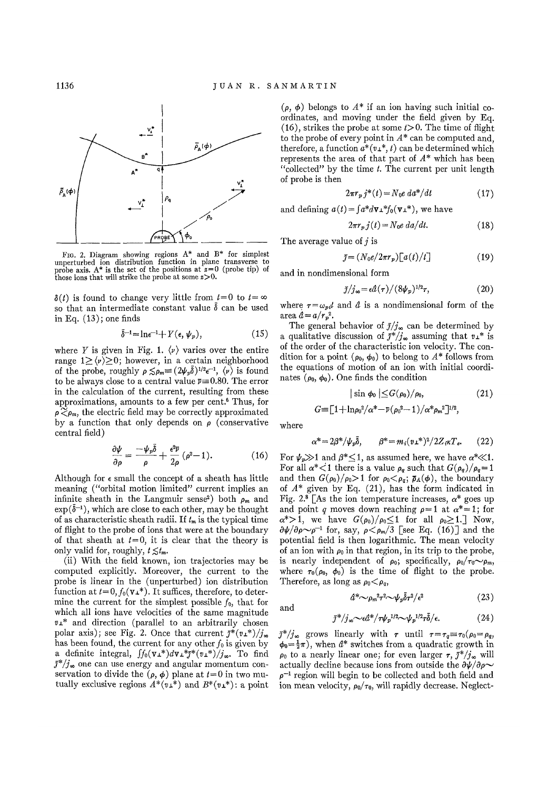

FIG. 2. Diagram showing regions  $A^*$  and  $B^*$  for simplest unperturbed ion distribution function in plane transverse to probe axis.  $A^*$  is the set of the positions at  $z=0$  (probe tip) of those ions that will strike t

 $\delta(t)$  is found to change very little from  $t=0$  to  $t=\infty$ so that an intermediate constant value  $\delta$  can be used in Eq.  $(13)$ ; one finds

$$
\tilde{\delta}^{-1} = \ln \epsilon^{-1} + Y(\epsilon, \psi_p), \tag{15}
$$

where *Y* is given in Fig. 1.  $\langle v \rangle$  varies over the entire range  $1 \ge \langle \nu \rangle \ge 0$ ; however, in a certain neighborhood of the probe, roughly  $\rho \le \rho_m \equiv (2\psi_p \bar{\delta})^{1/2} \epsilon^{-1}$ ,  $\langle \nu \rangle$  is found to be always close to a central value  $\bar{v}$  = 0.80. The error in the calculation of the current, resulting from these approximations, amounts to a few per cent.<sup>6</sup> Thus, for  $p \widetilde{\leq} p_m$ , the electric field may be correctly approximated by a function that only depends on  $\rho$  (conservative central field)

$$
\frac{\partial \psi}{\partial \rho} = \frac{-\psi_p \bar{\delta}}{\rho} + \frac{\epsilon^2 \bar{\nu}}{2\rho} (\rho^2 - 1). \tag{16}
$$

Although for  $\epsilon$  small the concept of a sheath has little meaning ("orbital motion limited" current implies an infinite sheath in the Langmuir sense<sup>2</sup>) both  $\rho_m$  and  $\exp(\bar{\delta}^{-1})$ , which are close to each other, may be thought of as characteristic sheath radii. If *tm* is the typical time of flight to the probe of ions that were at the boundary of that sheath at  $t=0$ , it is clear that the theory is only valid for, roughly,  $t \leq t_m$ .

(ii) With the field known, ion trajectories may be computed explicitly. Moreover, the current to the probe is linear in the (unperturbed) ion distribution function at  $t=0, f_0(\mathbf{v}_\perp^*)$ . It suffices, therefore, to determine the current for the simplest possible  $f_0$ , that for which all ions have velocities of the same magnitude *v±\** and direction (parallel to an arbitrarily chosen polar axis); see Fig. 2. Once that current  $\bar{j}^*(v_1^*)/j_{\infty}$ has been found, the current for any other  $f_0$  is given by a definite integral,  $\int f_0(\mathbf{v}_\perp^*)d\mathbf{v}_\perp^* \bar{j}^*(v_\perp^*)/j_\infty$ . To find  $\bar{j}^*/j_{\infty}$  one can use energy and angular momentum conservation to divide the  $(\rho, \phi)$  plane at  $t=0$  in two mutually exclusive regions  $A^*(v_1^*)$  and  $B^*(v_1^*)$ ; a point

 $(\rho, \phi)$  belongs to  $A^*$  if an ion having such initial coordinates, and moving under the field given by Eq. (16), strikes the probe at some  $t>0$ . The time of flight to the probe of every point in *A\** can be computed and, therefore, a function  $a^*(v_1^*, t)$  can be determined which represents the area of that part of *A\** which has been "collected" by the time  $t$ . The current per unit length of probe is then

$$
2\pi r_p j^*(t) = N_0 e \, d\mathfrak{a}^*/dt \tag{17}
$$

and defining  $a(t) = \int a^* d\mathbf{v} \perp^* f_0(\mathbf{v} \perp^*)$ , we have

$$
2\pi r_p j(t) = N_0 e \, da/dt. \tag{18}
$$

The average value of *j* is

$$
\bar{\jmath} = (N_0 e / 2\pi r_p) \big[ a(t) / t \big] \tag{19}
$$

and in nondimensional form

$$
\bar{j}/j_{\infty} = \epsilon \hat{d}(\tau) / (8\psi_p)^{1/2}\tau, \qquad (20)
$$

where  $r = \omega_{pi}t$  and  $\hat{a}$  is a nondimensional form of the area  $\hat{a} = a/r_p^2$ .

The general behavior of  $\bar{j}/j_{\infty}$  can be determined by a qualitative discussion of  $\overline{j}^*/j_\infty$  assuming that  $v\perp^*$  is of the order of the characteristic ion velocity. The condition for a point  $(\rho_0, \phi_0)$  to belong to  $A^*$  follows from the equations of motion of an ion with initial coordinates  $(\rho_0, \phi_0)$ . One finds the condition

$$
|\sin \phi_0| \leq G(\rho_0)/\rho_0,\tag{21}
$$

$$
G\!\!\equiv\!\!\big\lbrack1\!+\!\ln\!\rho_0{}^2/\alpha^*\!-\!\bar\nu(\rho_0{}^2\!-\!1)/\alpha^*\rho_m{}^2\bigr]^{1/2},
$$

where

and

$$
\alpha^* = 2\beta^* / \psi_p \bar{\delta}, \qquad \beta^* = m_i (v \bot^*)^2 / 2Z_i \kappa T_e. \tag{22}
$$

For  $\psi_p \gg 1$  and  $\beta^* \leq 1$ , as assumed here, we have  $\alpha^* \ll 1$ . For all  $\alpha^*$  if there is a value  $\rho_q$  such that  $G(\rho_q)/\rho_q=1$ and then  $G(\rho_0)/\rho_0 > 1$  for  $\rho_0 < \rho_g$ ;  $\bar{\rho}_A(\phi)$ , the boundary of *A\** given by Eq. (21), has the form indicated in Fig. 2.<sup>8</sup> [As the ion temperature increases,  $\alpha^*$  goes up and point q moves down reaching  $\rho = 1$  at  $\alpha^* = 1$ ; for  $\alpha^*$ >1, we have  $G(\rho_0)/\rho_0 \leq 1$  for all  $\rho_0 \geq 1$ . Now,  $\frac{\partial \psi}{\partial \rho} \sim \rho^{-1}$  for, say,  $\rho < \rho_m/3$  [see Eq. (16)] and the potential field is then logarithmic. The mean velocity of an ion with  $\rho_0$  in that region, in its trip to the probe, is nearly independent of  $\rho_0$ ; specifically,  $\rho_0/\tau_0 \sim \rho_m$ , where  $\tau_0(\rho_0, \phi_0)$  is the time of flight to the probe. Therefore, as long as  $\rho_0 < \rho_q$ ,

$$
\hat{a}^* \sim \rho_m^2 \tau^2 \sim \psi_p \bar{\delta} \tau^2 / \epsilon^2 \tag{23}
$$

$$
\bar{\jmath}^*/j_\infty \sim \epsilon \hat{a}^*/\tau \psi_p^{1/2} \sim \psi_p^{1/2} \tau \bar{\delta}/\epsilon. \tag{24}
$$

 $\bar{j}^*/j_{\infty}$  grows linearly with  $\tau$  until  $\tau = \tau_q \equiv \tau_0(\rho_0 = \rho_q,$  $\phi_0 = \frac{1}{2}\pi$ , when  $d^*$  switches from a quadratic growth in  $\rho_0$  to a nearly linear one; for even larger  $\tau$ ,  $\bar{\jmath}^*/j_{\infty}$  will actually decline because ions from outside the  $\partial \psi / \partial \rho$ ~  $\rho^{-1}$  region will begin to be collected and both field and ion mean velocity,  $\rho_0/\tau_0$ , will rapidly decrease. Neglect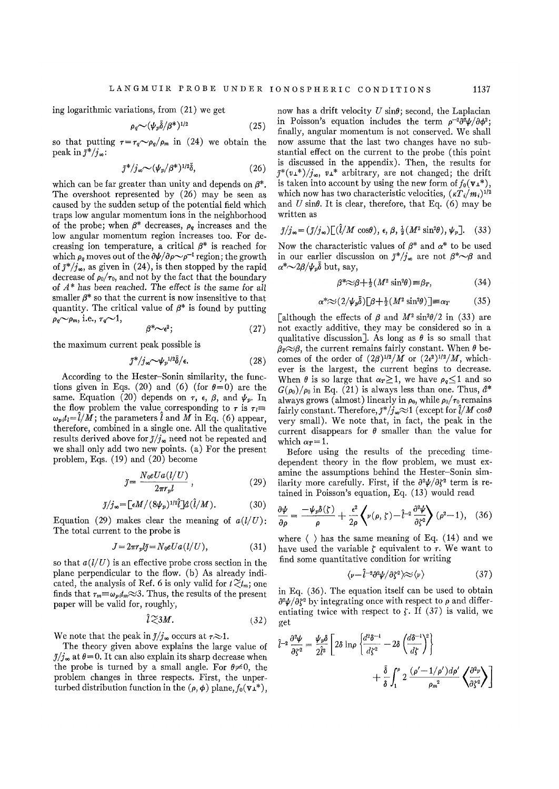ing logarithmic variations, from (21) we get

$$
\rho_q \sim (\psi_p \bar{\delta}/\beta^*)^{1/2} \tag{25}
$$

so that putting  $\tau = \tau_o \sim \rho_o / \rho_m$  in (24) we obtain the peak in  $\bar{j}^*/j_{\infty}$ :

$$
\bar{\jmath}^*/j_\infty \sim (\psi_p/\beta^*)^{1/2}\bar{\delta},\qquad(26)
$$

which can be far greater than unity and depends on  $\beta^*$ . The overshoot represented by (26) may be seen as caused by the sudden setup of the potential field which traps low angular momentum ions in the neighborhood of the probe; when  $\beta^*$  decreases,  $\rho_q$  increases and the low angular momentum region increases too. For decreasing ion temperature, a critical  $\beta^*$  is reached for which  $\rho_g$  moves out of the  $\partial \psi / \partial \rho \sim \rho^{-1}$  region; the growth of  $\bar{\jmath}^*/j_\infty$ , as given in (24), is then stopped by the rapid decrease of  $\rho_0/\tau_0$ , and not by the fact that the boundary of *A\** has been reached. The effect is the same for all smaller  $\beta^*$  so that the current is now insensitive to that quantity. The critical value of  $\beta^*$  is found by putting  $\rho_q \sim \rho_m$ , i.e.,  $\tau_q \sim 1$ ,

$$
\beta^* \sim \epsilon^2; \tag{27}
$$

the maximum current peak possible is

$$
\bar{\jmath}^*/j_\infty \sim \psi_p^{1/2} \bar{\delta}/\epsilon. \tag{28}
$$

According to the Hester-Sonin similarity, the functions given in Eqs. (20) and (6) (for  $\theta = 0$ ) are the same. Equation (20) depends on  $\tau$ ,  $\epsilon$ ,  $\beta$ , and  $\psi_p$ . In the flow problem the value corresponding to  $\tau$  is  $\tau$ *i* $\equiv$  $\omega_{pi}t_i=\tilde{l}/M$ ; the parameters  $\tilde{l}$  and  $M$  in Eq. (6) appear, therefore, combined in a single one. All the qualitative results derived above for  $\bar{j}/j_{\infty}$  need not be repeated and we shall only add two new points, (a) For the present problem, Eqs. (19) and (20) become

$$
\tilde{j} = \frac{N_0 e U a (l/U)}{2\pi r_n l} \,, \tag{29}
$$

$$
\bar{\jmath}/j_{\infty} = \left[\epsilon M/(8\psi_p)^{1/2}\hat{l}\right] \hat{d}\left(\hat{l}/M\right). \tag{30}
$$

Equation (29) makes clear the meaning of  $a(l/U)$ : The total current to the probe is

$$
J = 2\pi r_p l \bar{\jmath} = N_0 e U a (l/U), \qquad (31)
$$

so that *a(l/U)* is an effective probe cross section in the plane perpendicular to the flow, (b) As already indicated, the analysis of Ref. 6 is only valid for  $t \gtrsim t_m$ ; one finds that  $\tau_m \equiv \omega_p \mu_m \approx 3$ . Thus, the results of the present paper will be valid for, roughly,

$$
\hat{l} \gtrsim 3M. \tag{32}
$$

We note that the peak in  $\bar{j}/j_{\infty}$  occurs at  $\tau \approx 1$ .

The theory given above explains the large value of  $\bar{j}/j_{\infty}$  at  $\theta = 0$ . It can also explain its sharp decrease when the probe is turned by a small angle. For  $\theta \neq 0$ , the problem changes in three respects. First, the unperturbed distribution function in the  $(\rho, \phi)$  plane,  $f_0(\mathbf{v}_\perp^*),$ 

now has a drift velocity  $U \sin\theta$ ; second, the Laplacian in Poisson's equation includes the term  $\rho^{-2} \frac{\partial^2 \psi}{\partial \phi^2}$ ; finally, angular momentum is not conserved. We shall now assume that the last two changes have no substantial effect on the current to the probe (this point is discussed in the appendix). Then, the results for  $J^*(v_+^*)/j_{\infty}$ ,  $v_+^*$  arbitrary, are not changed; the drift is taken into account by using the new form of  $f_0(\mathbf{v}_\perp^*),$ which now has two characteristic velocities,  $(\kappa T_i/m_i)^{1/2}$ and  $U \sin\theta$ . It is clear, therefore, that Eq. (6) may be written as

$$
\tilde{j}/j_{\infty} = (\tilde{j}/j_{\infty}) \big[ (\hat{l}/M \cos \theta), \epsilon, \beta, \frac{1}{2} (M^2 \sin^2 \theta), \psi_p \big].
$$
 (33)

Now the characteristic values of  $\beta^*$  and  $\alpha^*$  to be used in our earlier discussion on  $\tilde{\jmath}^*/j_*$  are not  $\beta^* \sim \beta$  and  $\alpha^*{\sim}2\beta/\psi_p\delta$  but, say,

$$
\beta^* \approx \beta + \frac{1}{2} (M^2 \sin^2 \theta) \equiv \beta_T, \tag{34}
$$

$$
\alpha^* \approx (2/\psi_p \bar{\delta}) \left[ \beta + \frac{1}{2} (M^2 \sin^2 \theta) \right] = \alpha_T \tag{35}
$$

[although the effects of  $\beta$  and  $M^2 \sin^2\theta/2$  in (33) are not exactly additive, they may be considered so in a qualitative discussion]. As long as  $\theta$  is so small that  $\beta_T \approx \beta$ , the current remains fairly constant. When  $\theta$  becomes of the order of  $(2\beta)^{1/2}/M$  or  $(2\epsilon^2)^{1/2}/M$ , whichever is the largest, the current begins to decrease. When  $\theta$  is so large that  $\alpha_T \geq 1$ , we have  $\rho_q \leq 1$  and so  $G(\rho_0)/\rho_0$  in Eq. (21) is always less than one. Thus,  $\hat{a}^*$ always grows (almost) linearly in  $\rho_0$ , while  $\rho_0/\tau_0$  remains fairly constant. Therefore,  $\bar{j}*/j_*\infty$  (except for  $\hat{l}/M$  cos $\theta$ very small). We note that, in fact, the peak in the current disappears for  $\theta$  smaller than the value for which  $\alpha_T=1$ .

Before using the results of the preceding timedependent theory in the flow problem, we must examine the assumptions behind the Hester-Sonin similarity more carefully. First, if the  $\partial^2 \psi / \partial \zeta^2$  term is retained in Poisson's equation, Eq. (13) would read

$$
\frac{\partial \psi}{\partial \rho} = \frac{-\psi_p \delta(\zeta)}{\rho} + \frac{\epsilon^2}{2\rho} \left\langle \nu(\rho, \zeta) - \hat{l}^{-2} \frac{\partial^2 \psi}{\partial \zeta^2} \right\rangle (\rho^2 - 1), \quad (36)
$$

where  $\langle \rangle$  has the same meaning of Eq. (14) and we have used the variable  $\zeta$  equivalent to  $\tau$ . We want to find some quantitative condition for writing

$$
\langle \nu - \hat{l}^{-2} \partial^2 \psi / \partial \zeta^2 \rangle \approx \langle \nu \rangle \tag{37}
$$

in Eq. (36). The equation itself can be used to obtain  $\partial^2 \psi / \partial \zeta^2$  by integrating once with respect to  $\rho$  and differentiating twice with respect to  $\zeta$ . If (37) is valid, we get

$$
\hat{l}^{-2} \frac{\partial^2 \psi}{\partial \zeta^2} = \frac{\psi_p \delta}{2 \hat{l}^2} \left[ 2 \delta \ln \rho \left\{ \frac{d^2 \delta^{-1}}{d \zeta^2} - 2 \delta \left( \frac{d \delta^{-1}}{d \zeta} \right)^2 \right\} + \frac{\bar{\delta}}{\delta} \int_1^{\rho} 2 \frac{(\rho' - 1/\rho') d\rho'}{\rho_m^2} \left\{ \frac{\partial^2 \psi}{\partial \zeta^2} \right\} \right]
$$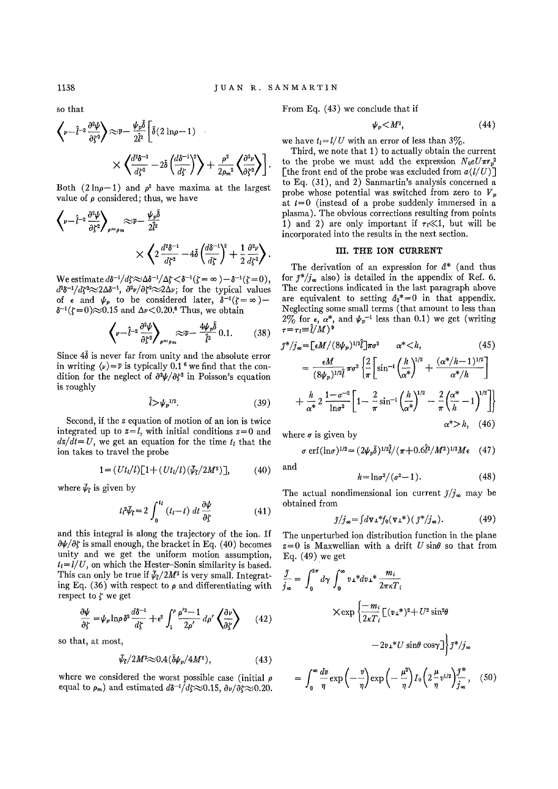so that

$$
\left\langle \nu - \hat{l}^{-2} \frac{\partial^2 \psi}{\partial \zeta^2} \right\rangle \approx \bar{\nu} - \frac{\psi_p \bar{\delta}}{2 \hat{l}^2} \left[ \bar{\delta} (2 \ln \rho - 1) \right] \times \left\langle \frac{d^2 \delta^{-1}}{d \zeta^2} - 2 \bar{\delta} \left( \frac{d \delta^{-1}}{d \zeta} \right)^2 \right\rangle + \frac{\rho^2}{2 \rho_m^2} \left\langle \frac{\partial^2 \nu}{\partial \zeta^2} \right\rangle \right]
$$

Both (2 $\ln \rho - 1$ ) and  $\rho^2$  have maxima at the largest value of  $\rho$  considered; thus, we have

$$
\left\langle \nu - \hat{l}^{-2} \frac{\partial^2 \psi}{\partial \zeta^2} \right\rangle_{\rho \approx \rho_m} \approx \overline{\nu} - \frac{\psi_p \delta}{2 \hat{l}^2} \times \left\langle 2 \frac{d^2 \delta^{-1}}{d \zeta^2} - 4 \bar{\delta} \left( \frac{d \delta^{-1}}{d \zeta} \right)^2 + \frac{1}{2} \frac{\partial^2 \nu}{d \zeta^2} \right\rangle.
$$

We estimate  $d\delta^{-1}/d\zeta \approx \Delta \delta^{-1}/\Delta\zeta < \delta^{-1}(\zeta = \infty) -\delta^{-1}(\zeta = 0)$ ,  $d^2\delta^{-1}/d\xi^2\approx 2\Delta\delta^{-1}$ ,  $\partial^2\nu/\partial \xi^2\approx 2\Delta\nu$ ; for the typical values of  $\epsilon$  and  $\psi_p$  to be considered later,  $\delta^{-1}(\xi=\infty)$  —  $\delta^{-1}(\zeta=0) \approx 0.15$  and  $\Delta \nu < 0.20$ .<sup>6</sup> Thus, we obtain

$$
\left\langle \nu - \hat{l}^{-2} \frac{\partial^2 \psi}{\partial \zeta^2} \right\rangle_{\rho \approx \rho_m} \approx \bar{\nu} - \frac{4 \psi_p \bar{\delta}}{\hat{l}^2} 0.1. \tag{38}
$$

Since  $4\bar{\delta}$  is never far from unity and the absolute error in writing  $\langle \nu \rangle = \overline{\nu}$  is typically 0.1<sup>6</sup> we find that the condition for the neglect of  $\partial^2 \psi / \partial \zeta^2$  in Poisson's equation is roughly

$$
\hat{l} > \psi_p^{1/2}.\tag{39}
$$

Second, if the z equation of motion of an ion is twice integrated up to  $z=l$ , with initial conditions  $z=0$  and  $dz/dt=U$ , we get an equation for the time  $t<sub>l</sub>$  that the ion takes to travel the probe

$$
1 = (Ut_l/l) [1 + (Ut_l/l)(\bar{V}_f/2M^2)], \qquad (40)
$$

where  $\bar{\psi}_f$  is given by

$$
t_{l}^{2}\bar{\psi}_{s}=2\int_{0}^{t_{l}}\left(t_{l}-t\right)dt\frac{\partial\psi}{\partial\zeta}
$$
\n(41)

and this integral is along the trajectory of the ion. If  $\partial \psi / \partial \zeta$  is small enough, the bracket in Eq. (40) becomes unity and we get the uniform motion assumption,  $t_i = l/U$ , on which the Hester-Sonin similarity is based. This can only be true if  $\bar{\psi}_s/2M^2$  is very small. Integrating Eq. (36) with respect to  $\rho$  and differentiating with respect to  $\zeta$  we get

$$
\frac{\partial \psi}{\partial \zeta} = \psi_p \ln \rho \, \delta^2 \frac{d\delta^{-1}}{d\zeta} + \epsilon^2 \int_1^{\rho} \frac{\rho'^2 - 1}{2\rho'} d\rho' \left\langle \frac{\partial \nu}{\partial \zeta} \right\rangle \tag{42}
$$

so that, at most,

$$
\bar{\psi}_\mathbf{f}/2M^2\!\!\approx\!0.4(\bar{\delta}\psi_p/4M^2),\qquad(43)
$$

where we considered the worst possible case (initial  $\rho$ equal to  $\rho_m$ ) and estimated  $d\delta^{-1}/d\zeta \approx 0.15$ ,  $\partial \nu/\partial \zeta \approx 0.20$ . From Eq. (43) we conclude that if

$$
\psi_p < M^2,\tag{44}
$$

we have  $t_l = l/U$  with an error of less than  $3\%$ .

Third, we note that 1) to actually obtain the current to the probe we must add the expression  $N_0eU\pi r_p^2$ [the front end of the probe was excluded from  $a(l/U)$ ] to Eq. (31), and 2) Sanmartin's analysis concerned a probe whose potential was switched from zero to *V<sup>p</sup>* at  $t = 0$  (instead of a probe suddenly immersed in a plasma). The obvious corrections resulting from points 1) and 2) are only important if  $\tau \ll 1$ , but will be incorporated into the results in the next section.

## **III. THE ION CURRENT**

The derivation of an expression for *d\** (and thus for  $J^*/j_{\infty}$  also) is detailed in the appendix of Ref. 6. The corrections indicated in the last paragraph above are equivalent to setting  $d_2^* = 0$  in that appendix. Neglecting some small terms (that amount to less than  $2\%$  for  $\epsilon$ ,  $\alpha^*$ , and  $\psi_p^{-1}$  less than 0.1) we get (writing  $\tau = \tau_l \equiv \hat{l}/M$ <sup>9</sup>

$$
\bar{J}^{*}/j_{\infty} = \left[\epsilon M/(8\psi_{p})^{1/2}\right] \pi \sigma^{2} \qquad \alpha^{*} < h, \qquad (45)
$$

$$
= \frac{\epsilon M}{(8\psi_{p})^{1/2}} \pi \sigma^{2} \left\{\frac{2}{\pi} \left[\sin^{-1}\left(\frac{h}{\alpha^{*}}\right)^{1/2} + \frac{(\alpha^{*}/h - 1)^{1/2}}{\alpha^{*}/h}\right] + \frac{h}{\alpha^{*}} 2 \frac{1 - \sigma^{-2}}{\ln \sigma^{2}} \left[1 - \frac{2}{\pi} \sin^{-1}\left(\frac{h}{\alpha^{*}}\right)^{1/2} - \frac{2}{\pi} \left(\frac{\alpha^{*}}{h} - 1\right)^{1/2}\right]\right\}
$$

$$
\alpha^{*} > h, \quad (46)
$$

where  $\sigma$  is given by

$$
\sigma \,\text{erf}(\ln \sigma)^{1/2} = (2\psi_p \bar{\delta})^{1/2} \hat{l} / (\pi + 0.6 \hat{l}^2 / M^2)^{1/2} M \epsilon \quad (47)
$$

and

$$
h = \ln \sigma^2/(\sigma^2 - 1). \tag{48}
$$

The actual nondimensional ion current  $\bar{j}/j_{\infty}$  may be obtained from

$$
\bar{\jmath}/j_{\infty} = \int d\mathbf{v} \, \mathbf{r}^* f_0(\mathbf{v} \, \mathbf{r}^*) \, (\, \bar{\jmath}^* / j_{\infty}). \tag{49}
$$

The unperturbed ion distribution function in the plane  $z=0$  is Maxwellian with a drift U sin $\theta$  so that from Eq. (49) we get

$$
\frac{\bar{j}}{j_{\infty}} = \int_0^{2\pi} d\gamma \int_0^{\infty} v \perp^* dv \perp^* \frac{m_i}{2\pi \kappa T_i}
$$
  
 
$$
\times \exp \left\{ \frac{-m_i}{2\kappa T_i} \left[ (v \perp^*)^2 + U^2 \sin^2 \theta \right. \right.\left. - 2v \perp^* U \sin \theta \cos \gamma \right] \right\} \bar{j}^*/j_{\infty}
$$
  

$$
= \int_0^{\infty} \frac{dv}{\eta} \exp \left( -\frac{v}{\eta} \right) \exp \left( -\frac{\mu^2}{\eta} \right) I_0 \left( 2\frac{\mu}{\eta} v^{1/2} \right) \frac{\bar{j}^*}{j_{\infty}}, \quad (50)
$$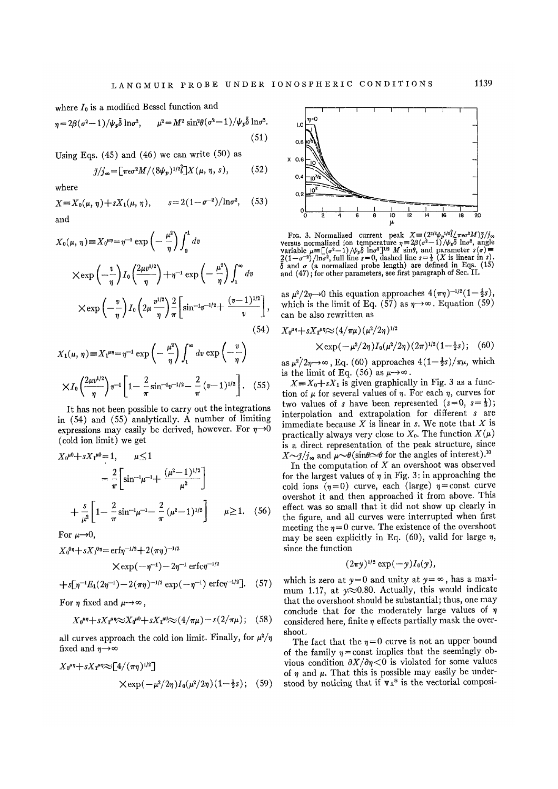where  $I_0$  is a modified Bessel function and

$$
\eta = 2\beta(\sigma^2 - 1)/\psi_p \bar{\delta} \ln \sigma^2, \qquad \mu^2 = M^2 \sin^2\theta(\sigma^2 - 1)/\psi_p \bar{\delta} \ln \sigma^2.
$$
\n(51)

Using Eqs.  $(45)$  and  $(46)$  we can write  $(50)$  as

$$
\bar{\jmath}/j_{\infty} = \left[ \pi \epsilon \sigma^2 M / (8\psi_p)^{1/2} \bar{\jmath} \right] X(\mu, \eta, s), \tag{52}
$$

where

$$
X \equiv X_0(\mu, \eta) + sX_1(\mu, \eta), \qquad s = 2(1 - \sigma^{-2})/\ln \sigma^2, \quad (53)
$$
  
and

$$
X_0(\mu, \eta) \equiv X_0^{\mu\eta} = \eta^{-1} \exp\left(-\frac{\mu^2}{\eta}\right) \int_0^1 dv
$$
  

$$
\times \exp\left(-\frac{v}{\eta}\right) I_0 \left(\frac{2\mu v^{1/2}}{\eta}\right) + \eta^{-1} \exp\left(-\frac{\mu^2}{\eta}\right) \int_1^\infty dv
$$
  

$$
\times \exp\left(-\frac{v}{\eta}\right) I_0 \left(2\mu \frac{v^{1/2}}{\eta}\right) \frac{2}{\pi} \left[\sin^{-1}v^{-1/2} + \frac{(v-1)^{1/2}}{v}\right],
$$
  
(54)

$$
X_1(\mu, \eta) \equiv X_1^{\mu\eta} = \eta^{-1} \exp\left(-\frac{\mu^2}{\eta}\right) \int_1^{\infty} dv \exp\left(-\frac{v}{\eta}\right)
$$

$$
\times I_0 \left(\frac{2\mu v^{1/2}}{\eta}\right) v^{-1} \left[1 - \frac{2}{\pi} \sin^{-1} v^{-1/2} - \frac{2}{\pi} (v-1)^{1/2}\right]. \quad (55)
$$

It has not been possible to carry out the integrations in (54) and (55) analytically. A number of limiting expressions may easily be derived, however. For  $\eta \rightarrow 0$ (cold ion limit) we get

$$
X_0^{\mu 0} + sX_1^{\mu 0} = 1, \qquad \mu \le 1
$$
  
=  $\frac{2}{\pi} \left[ \sin^{-1} \mu^{-1} + \frac{(\mu^2 - 1)^{1/2}}{\mu^2} \right]$   
+  $\frac{s}{\mu^2} \left[ 1 - \frac{2}{\pi} \sin^{-1} \mu^{-1} - \frac{2}{\pi} (\mu^2 - 1)^{1/2} \right] \qquad \mu \ge 1.$  (56)

For  $\mu\rightarrow 0$ ,

$$
X_0^{0\eta} + sX_1^{0\eta} = \text{erf}\eta^{-1/2} + 2(\pi\eta)^{-1/2}
$$
  
 
$$
\times \exp(-\eta^{-1}) - 2\eta^{-1} \text{erfc}\eta^{-1/2}
$$

$$
+s[\eta^{-1}E_1(2\eta^{-1})-2(\pi\eta)^{-1/2}\exp(-\eta^{-1})\text{erfc}\eta^{-1/2}].
$$
 (57)

For  $\eta$  fixed and  $\mu \rightarrow \infty$ ,

$$
X_0^{\mu\eta} + sX_1^{\mu\eta} \approx X_0^{\mu 0} + sX_1^{\mu 0} \approx (4/\pi\mu) - s(2/\pi\mu); \quad (58)
$$

all curves approach the cold ion limit. Finally, for  $\mu^2/\eta$ fixed and  $\eta \rightarrow \infty$ 

$$
X_0^{\mu\eta} + sX_1^{\mu\eta} \approx [4/(\pi\eta)^{1/2}]
$$
  
 
$$
\times \exp(-\mu^2/2\eta) I_0(\mu^2/2\eta) (1 - \frac{1}{2}s); \quad (59)
$$



Fro. 3. Normalized current peak  $X = (2^{3/2}\psi_p^{1/2}\ell/\pi e\sigma^2 M) \bar{j}/j\omega$ <br>versus normalized ion temperature  $\eta = 2\beta(\sigma^2 - 1)/\psi_p\delta \ln \sigma^2$ , angle<br>variable  $\mu = [(\sigma^2 - 1)/\psi_p\delta \ln \sigma^2]^{1/2} M \sin \theta$ , and parameter  $s(\sigma) = 2(1-\sigma^{-2})/\ln \sigma^2$ 

as  $\mu^2/2\eta \rightarrow 0$  this equation approaches  $4(\pi\eta)^{-1/2}(1-\frac{1}{2}s)$ , which is the limit of Eq. (57) as  $\eta \rightarrow \infty$ . Equation (59) can be also rewritten as

 $X_0^{\mu\eta} + sX_1^{\mu\eta} \approx (4/\pi\mu) (\mu^2/2\eta)^{1/2}$ 

$$
\times \exp(-\mu^2/2\eta) I_0(\mu^2/2\eta) (2\pi)^{1/2} (1-\tfrac{1}{2}s); \quad (60)
$$

as  $\mu^2/2\eta \rightarrow \infty$ , Eq. (60) approaches  $4(1-\frac{1}{2}s)/\pi\mu$ , which is the limit of Eq. (56) as  $\mu \rightarrow \infty$ .

 $X = X_0 + sX_1$  is given graphically in Fig. 3 as a function of  $\mu$  for several values of  $\eta$ . For each  $\eta$ , curves for two values of *s* have been represented  $(s=0, s=\frac{1}{3})$ ; interpolation and extrapolation for different *s* are immediate because *X* is linear in *s.* We note that *X* is practically always very close to  $X_0$ . The function  $X(\mu)$ is a direct representation of the peak structure, since  $X\sim\bar{\jmath}/j_{\infty}$  and  $\mu\sim\theta(\sin\theta\sim\theta$  for the angles of interest).<sup>10</sup>

In the computation of *X* an overshoot was observed for the largest values of  $\eta$  in Fig. 3: in approaching the cold ions  $(\eta = 0)$  curve, each (large)  $\eta = \text{const}$  curve overshot it and then approached it from above. This effect was so small that it did not show up clearly in the figure, and all curves were interrupted when first meeting the  $\eta = 0$  curve. The existence of the overshoot may be seen explicitly in Eq. (60), valid for large  $\eta$ , since the function

$$
(2\pi y)^{1/2}\exp(-y)I_0(y),
$$

which is zero at  $y=0$  and unity at  $y=\infty$ , has a maximum 1.17, at  $y \approx 0.80$ . Actually, this would indicate that the overshoot should be substantial; thus, one may conclude that for the moderately large values of  $\eta$ considered here, finite  $\eta$  effects partially mask the overshoot.

The fact that the  $\eta = 0$  curve is not an upper bound of the family  $\eta$  = const implies that the seemingly obvious condition  $\partial X/\partial \eta < 0$  is violated for some values of  $\eta$  and  $\mu$ . That this is possible may easily be understood by noticing that if  $v_1$ <sup>\*</sup> is the vectorial composi-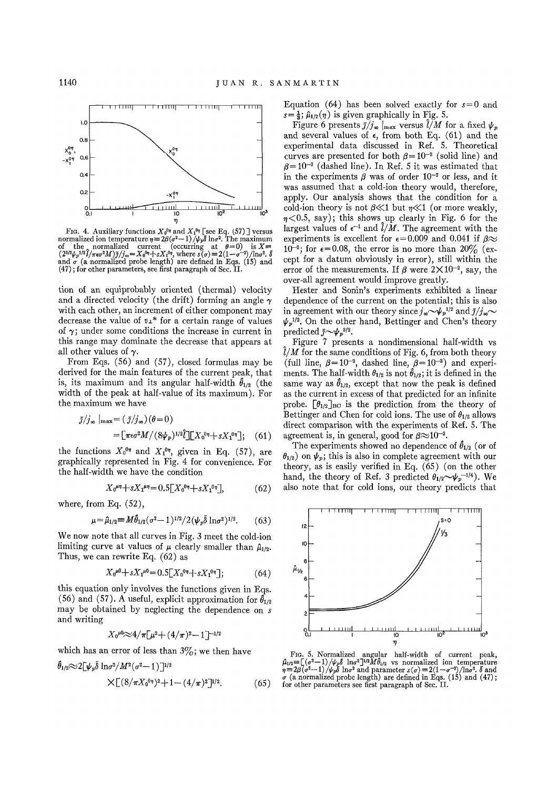

FIG. 4. Auxiliary functions  $X_0^{0\eta}$  and  $X_1^{0\eta}$  [see Eq. (57)] versus<br>normalized ion temperature  $\eta = 2\beta(\sigma^2 - 1)/\psi_p \bar{\delta} \ln \sigma^2$ . The maximum<br>of the normalized current (occurring at  $\theta = 0$ ) is  $X = (2^{3/2}\psi_p^{1/2})/\pi\epsilon$ (47); for other parameters, see first paragraph of Sec. II.

tion of an equiprobably oriented (thermal) velocity and a directed velocity (the drift) forming an angle *y*  with each other, an increment of either component may decrease the value of *vx\** for a certain range of values of  $\gamma$ ; under some conditions the increase in current in this range may dominate the decrease that appears at all other values of  $\gamma$ .

From Eqs. (56) and (57), closed formulas may be derived for the main features of the current peak, that is, its maximum and its angular half-width  $\hat{\theta}_{1/2}$  (the width of the peak at half-value of its maximum). For the maximum we have

$$
\bar{\jmath}/j_{\infty} \mid_{\max} = (\bar{\jmath}/j_{\infty})(\theta = 0)
$$
  
= 
$$
\left[ \pi \epsilon \sigma^2 M / (8\psi_p)^{1/2} \tilde{\jmath} \right] \left[ X_0^{0\eta} + s X_1^{0\eta} \right]; \quad (61)
$$

the functions  $X_0^{0\eta}$  and  $X_1^{0\eta}$ , given in Eq. (57), are graphically represented in Fig. 4 for convenience. For the half-width we have the condition

$$
X_0^{\mu\eta} + sX_1^{\mu\eta} = 0.5[X_0^{\theta\eta} + sX_1^{\theta\eta}], \tag{62}
$$

where, from Eq. (52),

$$
\mu = \hat{\mu}_{1/2} \equiv M \hat{\theta}_{1/2} (\sigma^2 - 1)^{1/2} / 2 (\psi_p \bar{\delta} \ln \sigma^2)^{1/2}.
$$
 (63)

We now note that all curves in Fig. 3 meet the cold-ion limiting curve at values of  $\mu$  clearly smaller than  $\hat{\mu}_{1/2}$ . Thus, we can rewrite Eq. (62) as

$$
X_0^{\mu 0} + sX_1^{\mu 0} = 0.5[X_0^{\mu 0} + sX_1^{\mu 0}];\tag{64}
$$

this equation only involves the functions given in Eqs. (56) and (57). A useful, explicit approximation for  $\hat{\theta}_{1/2}$ may be obtained by neglecting the dependence on s and writing

$$
X_0^{\mu 0} \!\!\approx\!\! 4/\pi \!\left[\mu^2\!+\!(4/\pi)^2\!-\!1\right]^{-1/2}
$$

which has an error of less than  $3\%$ ; we then have

$$
\hat{\theta}_{1/2} \approx 2[\psi_p \bar{\delta} \ln \sigma^2 / M^2 (\sigma^2 - 1)]^{1/2}
$$
  
 
$$
\times [ (8/\pi X_0^{0\eta})^2 + 1 - (4/\pi)^2 ]^{1/2}.
$$
 (65)

Equation (64) has been solved exactly for  $s = 0$  and  $s=\frac{1}{3}$ ;  $\hat{\mu}_{1/2}(\eta)$  is given graphically in Fig. 5.

Figure 6 presents  $\bar{j}/j_{\infty}$   $|_{\text{max}}$  versus  $\hat{l}/M$  for a fixed  $\psi_p$ and several values of  $\epsilon$ , from both Eq. (61) and the experimental data discussed in Ref. 5. Theoretical curves are presented for both  $\beta = 10^{-2}$  (solid line) and  $\beta$ =10<sup>-3</sup> (dashed line). In Ref. 5 it was estimated that in the experiments  $\beta$  was of order  $10^{-2}$  or less, and it was assumed that a cold-ion theory would, therefore, apply. Our analysis shows that the condition for a cold-ion theory is not  $\beta \ll 1$  but  $\eta \ll 1$  (or more weakly,  $\eta$ <0.5, say); this shows up clearly in Fig. 6 for the largest values of  $\epsilon^{-1}$  and  $\hat{l}/M$ . The agreement with the experiments is excellent for  $\epsilon = 0.009$  and 0.041 if  $\beta \approx$  $10^{-2}$ ; for  $\epsilon = 0.08$ , the error is no more than  $20\%$  (except for a datum obviously in error), still within the error of the measurements. If *f* were  $2 \times 10^{-2}$ , say, the over-all agreement would improve greatly.

Hester and Sonin's experiments exhibited a linear dependence of the current on the potential; this is also in agreement with our theory since  $j_{\infty} \sim \psi_p^{1/2}$  and  $\bar{j}/j_{\infty} \sim$  $\psi_p^{1/2}$ . On the other hand, Bettinger and Chen's theory predicted  $\bar{j} \sim \psi_p^{3/2}$ .

Figure 7 presents a nondimensional half-width vs  $\hat{l}/M$  for the same conditions of Fig. 6, from both theory (full line,  $\beta = 10^{-2}$ , dashed line,  $\beta = 10^{-3}$ ) and experiments. The half-width  $\theta_{1/2}$  is not  $\hat{\theta}_{1/2}$ ; it is defined in the same way as  $\hat{\theta}_{1/2}$ , except that now the peak is defined as the current in excess of that predicted for an infinite probe.  $\left[\theta_{1/2}\right]_{BC}$  is the prediction from the theory of Bettinger and Chen for cold ions. The use of  $\theta_{1/2}$  allows direct comparison with the experiments of Ref. 5. The agreement is, in general, good for  $\beta \approx 10^{-2}$ .

The experiments showed no dependence of  $\hat{\theta}_{1/2}$  (or of  $\theta_{1/2}$ ) on  $\psi_p$ ; this is also in complete agreement with our theory, as is easily verified in Eq. (65) (on the other hand, the theory of Ref. 3 predicted  $\theta_{1/2} \sim \psi_p^{-1/4}$ ). We also note that for cold ions, our theory predicts that



FIG. 5. Normalized angular half-width of current peak,  $\hat{\mu}_{1/2} \equiv \left[ (q^2 - 1) / \psi_p \delta \right] \ln \sigma^2 \left]^{1/2} M \hat{\theta}_{1/2}$  vs normalized ion temperature  $\eta = 2\beta (q^2 - 1) / \psi_p \hat{\theta}$  and parameter  $s$  ( $\sigma$ ) =  $2(1 - \sigma^{-2}) / \ln \sigma^2$ .  $\delta$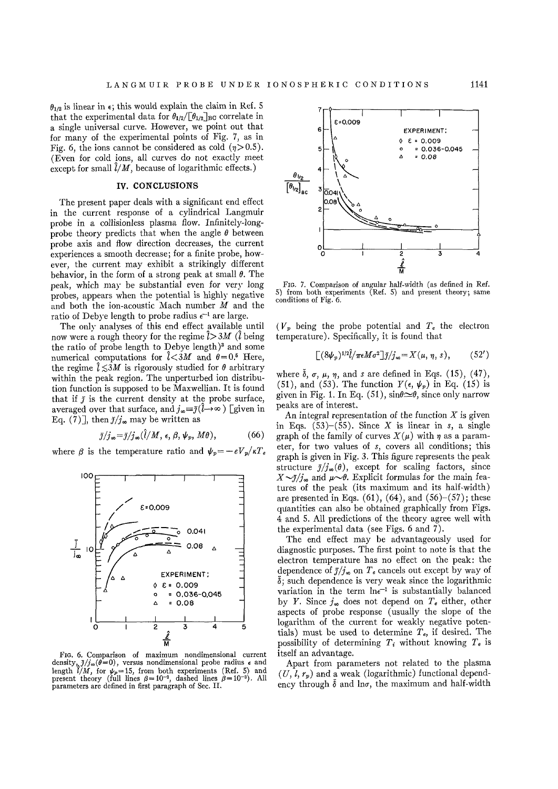$\theta_{1/2}$  is linear in  $\epsilon$ ; this would explain the claim in Ref. 5 that the experimental data for  $\theta_{1/2}/[\theta_{1/2}]_{\text{BG}}$  correlate in a single universal curve. However, we point out that for many of the experimental points of Fig. 7, as in Fig. 6, the ions cannot be considered as cold  $(\eta > 0.5)$ . (Even for cold ions, all curves do not exactly meet except for small  $\ell/M$ , because of logarithmic effects.)

# **IV. CONCLUSIONS**

The present paper deals with a significant end effect in the current response of a cylindrical Langmuir probe in a collisionless plasma flow. Infinitely-longprobe theory predicts that when the angle  $\theta$  between probe axis and flow direction decreases, the current experiences a smooth decrease; for a finite probe, however, the current may exhibit a strikingly different behavior, in the form of a strong peak at small  $\theta$ . The peak, which may be substantial even for very long probes, appears when the potential is highly negative and both the ion-acoustic Mach number  $\overline{M}$  and the ratio of Debye length to probe radius *e~* are large.

The only analyses of this end effect available until now were a rough theory for the regime *1>3M (l* being the ratio of probe length to Debye length)<sup>3</sup> and some numerical computations for  $\hat{l} < 3M$  and  $\theta = 0.5$  Here, the regime  $\hat{l} \lesssim 3M$  is rigorously studied for  $\theta$  arbitrary within the peak region. The unperturbed ion distribution function is supposed to be Maxwellian. It is found that if  $\tilde{J}$  is the current density at the probe surface, averaged over that surface, and  $j_{\infty} {\equiv} \bar{\jmath}(\hat{l}{\rightarrow}\infty$  ) [given in Eq. (7)], then  $\bar{j}/j_{\infty}$  may be written as

$$
\bar{j}/j_{\infty} = \bar{j}/j_{\infty}(\hat{l}/M, \epsilon, \beta, \psi_p, M\theta), \qquad (66)
$$

where  $\beta$  is the temperature ratio and  $\psi_p = -eV_p/\kappa T_e$ 



FIG. 6. Comparison of maximum nondimensional current density,  $\bar{j}/j_{\infty}(\bar{\theta}=0)$ , versus nondimensional probe radius  $\epsilon$  and length  $\hat{i}/M$ , for  $\psi_p = 15$ , from both experiments (Ref. 5) and present theory (full lines  $\beta = 10^{-2}$ , dashed lines  $\beta = 10^{-3}$ ). All parameters are defined in first paragraph of Sec. II.



FIG. 7. Comparison of angular half-width (as defined in Ref. S) from both experiments (Ref. 5) and present theory; same conditions of Fig. 6.

 $(V_p)$  being the probe potential and  $T_e$  the electron temperature). Specifically, it is found that

$$
[(8\psi_p)^{1/2}\hat{l}/\pi\epsilon M\sigma^2]\bar{\jmath}/j_\infty = X(\mu, \eta, s), \qquad (52')
$$

where  $\delta$ ,  $\sigma$ ,  $\mu$ ,  $\eta$ , and *s* are defined in Eqs. (15), (47), (51), and (53). The function  $Y(\epsilon, \psi_p)$  in Eq. (15) is given in Fig. 1. In Eq. (51),  $\sin\theta \approx \theta$ , since only narrow peaks are of interest.

An integral representation of the function *X* is given in Eqs.  $(53)$ – $(55)$ . Since X is linear in s, a single graph of the family of curves  $X(\mu)$  with  $\eta$  as a parameter, for two values of *s,* covers all conditions; this graph is given in Fig. 3. This figure represents the peak structure  $\bar{j}/j_{\infty}(\theta)$ , except for scaling factors, since  $X\sim\bar{J}/j_{\infty}$  and  $\mu\sim\theta$ . Explicit formulas for the main features of the peak (its maximum and its half-width) are presented in Eqs.  $(61)$ ,  $(64)$ , and  $(56)-(57)$ ; these quantities can also be obtained graphically from Figs. 4 and 5. All predictions of the theory agree well with the experimental data (see Figs. 6 and 7).

The end effect may be advantageously used for diagnostic purposes. The first point to note is that the electron temperature has no effect on the peak: the dependence of  $\bar{\jmath}/j_{\infty}$  on  $T_e$  cancels out except by way of  $\delta$ ; such dependence is very weak since the logarithmic variation in the term  $ln \epsilon^{-1}$  is substantially balanced by *Y*. Since  $j_{\infty}$  does not depend on  $T_e$  either, other aspects of probe response (usually the slope of the logarithm of the current for weakly negative potentials) must be used to determine  $T_e$ , if desired. The possibility of determining  $T_i$  without knowing  $T_e$  is itself an advantage.

Apart from parameters not related to the plasma *(U, I, rp)* and a weak (logarithmic) functional dependency through  $\bar{\delta}$  and ln $\sigma$ , the maximum and half-width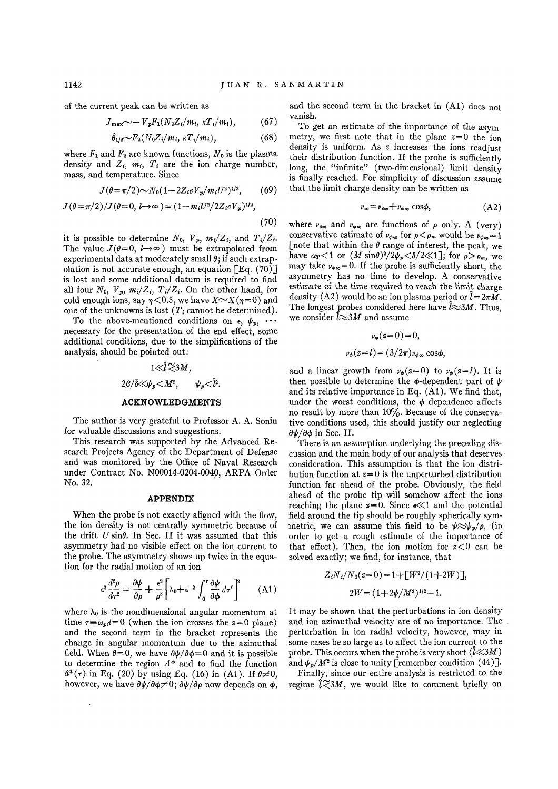of the current peak can be written as

$$
T_{\text{max}} \sim -V_p F_1(N_0 Z_i/m_i, \kappa T_i/m_i), \qquad (67)
$$

$$
\hat{\theta}_{1/2} \sim F_2(N_0 Z_i/m_i, \kappa T_i/m_i), \qquad (68)
$$

where  $F_1$  and  $F_2$  are known functions,  $N_0$  is the plasma density and  $Z_i$ ,  $m_i$ ,  $T_i$  are the ion charge number, mass, and temperature. Since

$$
J(\theta = \pi/2) \sim N_0(1 - 2Z_i eV_p/m_i U^2)^{1/2}, \qquad (69)
$$

$$
J(\theta = \pi/2)/J(\theta = 0, l \to \infty) = (1 - m_i U^2 / 2Z_i eV_p)^{1/2},
$$
\n(70)

it is possible to determine  $N_0$ ,  $V_p$ ,  $m_i/Z_i$ , and  $T_i/Z_i$ . The value  $J(\theta=0, l\rightarrow\infty)$  must be extrapolated from experimental data at moderately small *0;* if such extrapolation is not accurate enough, an equation  $[Eq. (70)$ ] is lost and some additional datum is required to find all four  $N_0$ ,  $V_p$ ,  $m_i/Z_i$ ,  $T_i/Z_i$ . On the other hand, for cold enough ions, say  $\eta < 0.5$ , we have  $X \sim X(\eta=0)$  and one of the unknowns is lost  $(T_i \text{ cannot be determined}).$ 

To the above-mentioned conditions on  $\epsilon$ ,  $\psi_p$ ,  $\cdots$ necessary for the presentation of the end effect, some additional conditions, due to the simplifications of the analysis, should be pointed out:

# $1\ll \hat{i} \approx 3M$ .  $2\beta/\bar{\delta} \ll \nu_n \ll M^2, \qquad \nu_n \ll \hat{l}^2.$

### **ACKNOWLEDGMENTS**

The author is very grateful to Professor A. A. Sonin for valuable discussions and suggestions.

This research was supported by the Advanced Research Projects Agency of the Department of Defense and was monitored by the Office of Naval Research under Contract No. N00014-0204-004p, ARPA Order No. 32.

## **APPENDIX**

When the probe is not exactly aligned with the flow, the ion density is not centrally symmetric because of the drift  $U \sin\theta$ . In Sec. II it was assumed that this asymmetry had no visible effect on the ion current to the probe. The asymmetry shows up twice in the equation for the radial motion of an ion

$$
\epsilon^2 \frac{d^2 \rho}{d\tau^2} = \frac{\partial \psi}{\partial \rho} + \frac{\epsilon^2}{\rho^3} \left[ \lambda_0 + \epsilon^{-2} \int_0^\tau \frac{\partial \psi}{\partial \phi} d\tau' \right]^2 \tag{A1}
$$

where  $\lambda_0$  is the nondimensional angular momentum at time  $\tau \equiv \omega_{pi} t = 0$  (when the ion crosses the  $z = 0$  plane) and the second term in the bracket represents the change in angular momentum due to the azimuthal field. When  $\theta=0$ , we have  $\partial \psi / \partial \phi = 0$  and it is possible to determine the region *A\** and to find the function  $d^*(\tau)$  in Eq. (20) by using Eq. (16) in (A1). If  $\theta \neq 0$ , however, we have  $\partial \psi / \partial \phi \neq 0$ ;  $\partial \psi / \partial \rho$  now depends on  $\phi$ ,

and the second term in the bracket in (Al) does not vanish.

To get an estimate of the importance of the asymmetry, we first note that in the plane  $z=0$  the ion density is uniform. As  *increases the ions readjust* their distribution function. If the probe is sufficiently long, the "infinite" (two-dimensional) limit density is finally reached. For simplicity of discussion assume that the limit charge density can be written as

$$
\nu_{\infty} = \nu_{\infty} + \nu_{\phi \infty} \cos \phi, \tag{A2}
$$

where  $\nu_{\rm$ *c* $<sub>∞</sub> and  $\nu_{\phi\infty}$  are functions of  $\rho$  only. A (very)$ conservative estimate of  $\nu_{\phi\infty}$  for  $\rho < \rho_m$  would be  $\nu_{\phi\infty} = 1$ [note that within the  $\theta$  range of interest, the peak, we have  $\alpha_r < 1$  or  $(M \sin \theta)^2 / 2\psi_p < \delta / 2 \ll 1$ ; for  $\rho > \rho_m$ , we may take  $\nu_{\phi\phi}=0$ . If the probe is sufficiently short, the asymmetry has no time to develop. A conservative estimate of the time required to reach the limit charge density (A2) would be an ion plasma period or  $\ell = 2\pi M$ . The longest probes considered here have  $\hat{l} \approx 3M$ . Thus, we consider  $\overline{l} \approx 3M$  and assume

$$
\nu_{\phi}(z=0) = 0,
$$
  

$$
\nu_{\phi}(z=l) = (3/2\pi)\nu_{\phi\infty}\cos\phi,
$$

and a linear growth from  $\nu_{\phi}(z=0)$  to  $\nu_{\phi}(z=l)$ . It is then possible to determine the  $\phi$ -dependent part of  $\psi$ and its relative importance in Eq. (Al). We find that, under the worst conditions, the  $\phi$  dependence affects no result by more than  $10\%$ . Because of the conservative conditions used, this should justify our neglecting  $\partial \psi / \partial \phi$  in Sec. II.

There is an assumption underlying the preceding discussion and the main body of our analysis that deserves consideration. This assumption is that the ion distribution function at  $z=0$  is the unperturbed distribution function far ahead of the probe. Obviously, the field ahead of the probe tip will somehow affect the ions reaching the plane  $z=0$ . Since  $\epsilon \ll 1$  and the potential field around the tip should be roughly spherically symmetric, we can assume this field to be  $\psi \approx \psi_p / \rho$ , (in order to get a rough estimate of the importance of that effect). Then, the ion motion for  $z < 0$  can be solved exactly; we find, for instance, that

$$
Z_i N_i / N_0(z=0) = 1 + \left[W^2/(1+2W)\right],
$$
  

$$
2W = (1+2\psi/M^2)^{1/2} - 1.
$$

It may be shown that the perturbations in ion density and ion azimuthal velocity are of no importance. The perturbation in ion radial velocity, however, may in some cases be so large as to affect the ion current to the probe. This occurs when the probe is very short  $(\ell \ll 3M)$ and  $\psi_p/M^2$  is close to unity [remember condition (44)].

Finally, since our entire analysis is restricted to the regime  $\hat{l} \leq 3M$ , we would like to comment briefly on